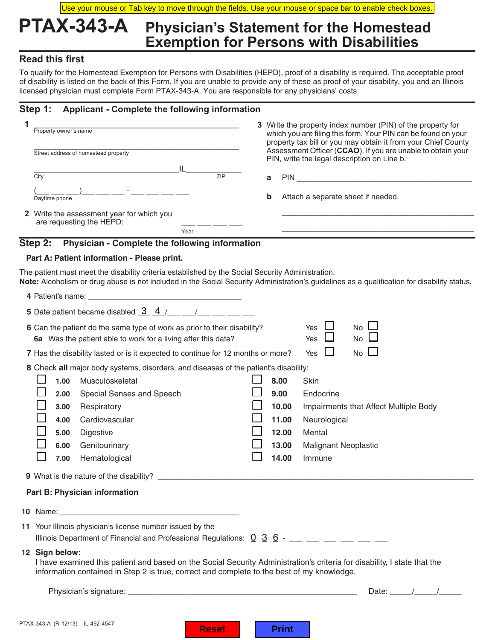Use your mouse or Tab key to move through the fields. Use your mouse or space bar to enable check boxes.

### **PTAX-343-A Physician's Statement for the Homestead Exemption for Persons with Disabilities**

### **Read this first**

To qualify for the Homestead Exemption for Persons with Disabilities (HEPD), proof of a disability is required. The acceptable proof of disability is listed on the back of this Form. If you are unable to provide any of these as proof of your disability, you and an Illinois licensed physician must complete Form PTAX-343-A. You are responsible for any physicians' costs.

### **Step 1: Applicant - Complete the following information**

| 1                                                                                                                                                                                                                                               |                                      |                                                                                                                     | Property owner's name                                                                |            |  | 3 Write the property index number (PIN) of the property for<br>which you are filing this form. Your PIN can be found on your                                                |                                       |  |  |  |  |
|-------------------------------------------------------------------------------------------------------------------------------------------------------------------------------------------------------------------------------------------------|--------------------------------------|---------------------------------------------------------------------------------------------------------------------|--------------------------------------------------------------------------------------|------------|--|-----------------------------------------------------------------------------------------------------------------------------------------------------------------------------|---------------------------------------|--|--|--|--|
|                                                                                                                                                                                                                                                 | Street address of homestead property |                                                                                                                     |                                                                                      |            |  | property tax bill or you may obtain it from your Chief County<br>Assessment Officer (CCAO). If you are unable to obtain your<br>PIN, write the legal description on Line b. |                                       |  |  |  |  |
|                                                                                                                                                                                                                                                 | City                                 |                                                                                                                     |                                                                                      | IL.<br>7IP |  | a                                                                                                                                                                           | PIN <b>PIN</b>                        |  |  |  |  |
|                                                                                                                                                                                                                                                 |                                      | Daytime phone                                                                                                       |                                                                                      |            |  | b<br>Attach a separate sheet if needed.                                                                                                                                     |                                       |  |  |  |  |
|                                                                                                                                                                                                                                                 |                                      |                                                                                                                     | 2 Write the assessment year for which you<br>are requesting the HEPD:                |            |  |                                                                                                                                                                             |                                       |  |  |  |  |
|                                                                                                                                                                                                                                                 |                                      |                                                                                                                     |                                                                                      | Year       |  |                                                                                                                                                                             |                                       |  |  |  |  |
|                                                                                                                                                                                                                                                 | Step 2:                              |                                                                                                                     | Physician - Complete the following information                                       |            |  |                                                                                                                                                                             |                                       |  |  |  |  |
|                                                                                                                                                                                                                                                 |                                      |                                                                                                                     | Part A: Patient information - Please print.                                          |            |  |                                                                                                                                                                             |                                       |  |  |  |  |
| The patient must meet the disability criteria established by the Social Security Administration.<br>Note: Alcoholism or drug abuse is not included in the Social Security Administration's guidelines as a qualification for disability status. |                                      |                                                                                                                     |                                                                                      |            |  |                                                                                                                                                                             |                                       |  |  |  |  |
|                                                                                                                                                                                                                                                 |                                      |                                                                                                                     |                                                                                      |            |  |                                                                                                                                                                             |                                       |  |  |  |  |
|                                                                                                                                                                                                                                                 |                                      |                                                                                                                     | 5 Date patient became disabled $\frac{3}{4}$ / __ _ _ / __ _ _ _                     |            |  |                                                                                                                                                                             |                                       |  |  |  |  |
|                                                                                                                                                                                                                                                 |                                      |                                                                                                                     | 6 Can the patient do the same type of work as prior to their disability?             |            |  |                                                                                                                                                                             | No L<br>Yes                           |  |  |  |  |
|                                                                                                                                                                                                                                                 |                                      |                                                                                                                     | 6a Was the patient able to work for a living after this date?                        |            |  |                                                                                                                                                                             | Yes<br>No                             |  |  |  |  |
|                                                                                                                                                                                                                                                 |                                      |                                                                                                                     | 7 Has the disability lasted or is it expected to continue for 12 months or more?     |            |  |                                                                                                                                                                             | $\Box$<br>$No$ $\Box$<br>Yes          |  |  |  |  |
|                                                                                                                                                                                                                                                 |                                      |                                                                                                                     | 8 Check all major body systems, disorders, and diseases of the patient's disability: |            |  |                                                                                                                                                                             |                                       |  |  |  |  |
|                                                                                                                                                                                                                                                 |                                      | 1.00                                                                                                                | Musculoskeletal                                                                      |            |  | 8.00                                                                                                                                                                        | Skin                                  |  |  |  |  |
|                                                                                                                                                                                                                                                 |                                      | 2.00                                                                                                                | Special Senses and Speech                                                            |            |  | 9.00                                                                                                                                                                        | Endocrine                             |  |  |  |  |
|                                                                                                                                                                                                                                                 |                                      | 3.00                                                                                                                | Respiratory                                                                          |            |  | 10.00                                                                                                                                                                       | Impairments that Affect Multiple Body |  |  |  |  |
|                                                                                                                                                                                                                                                 |                                      | 4.00                                                                                                                | Cardiovascular                                                                       |            |  | 11.00                                                                                                                                                                       | Neurological                          |  |  |  |  |
|                                                                                                                                                                                                                                                 |                                      | 5.00                                                                                                                | Digestive                                                                            |            |  | 12.00                                                                                                                                                                       | Mental                                |  |  |  |  |
|                                                                                                                                                                                                                                                 |                                      | 6.00                                                                                                                | Genitourinary                                                                        |            |  | 13.00                                                                                                                                                                       | <b>Malignant Neoplastic</b>           |  |  |  |  |
|                                                                                                                                                                                                                                                 |                                      | 7.00                                                                                                                | Hematological                                                                        |            |  | 14.00                                                                                                                                                                       | Immune                                |  |  |  |  |
|                                                                                                                                                                                                                                                 |                                      |                                                                                                                     |                                                                                      |            |  |                                                                                                                                                                             |                                       |  |  |  |  |
|                                                                                                                                                                                                                                                 |                                      |                                                                                                                     | Part B: Physician information                                                        |            |  |                                                                                                                                                                             |                                       |  |  |  |  |
|                                                                                                                                                                                                                                                 |                                      |                                                                                                                     |                                                                                      |            |  |                                                                                                                                                                             |                                       |  |  |  |  |
|                                                                                                                                                                                                                                                 |                                      | 11 Your Illinois physician's license number issued by the                                                           |                                                                                      |            |  |                                                                                                                                                                             |                                       |  |  |  |  |
|                                                                                                                                                                                                                                                 |                                      | Illinois Department of Financial and Professional Regulations: $0 \overline{3} \overline{6}$ - __ __ __ __ __ __ __ |                                                                                      |            |  |                                                                                                                                                                             |                                       |  |  |  |  |
|                                                                                                                                                                                                                                                 | 12 Sign below:                       |                                                                                                                     |                                                                                      |            |  |                                                                                                                                                                             |                                       |  |  |  |  |

 I have examined this patient and based on the Social Security Administration's criteria for disability, I state that the information contained in Step 2 is true, correct and complete to the best of my knowledge.

Physician's signature: \_\_\_\_\_\_\_\_\_\_\_\_\_\_\_\_\_\_\_\_\_\_\_\_\_\_\_\_\_\_\_\_\_\_\_\_\_\_\_\_\_\_\_\_\_\_\_\_\_\_\_ Date: \_\_\_\_\_/\_\_\_\_\_/\_\_\_\_\_